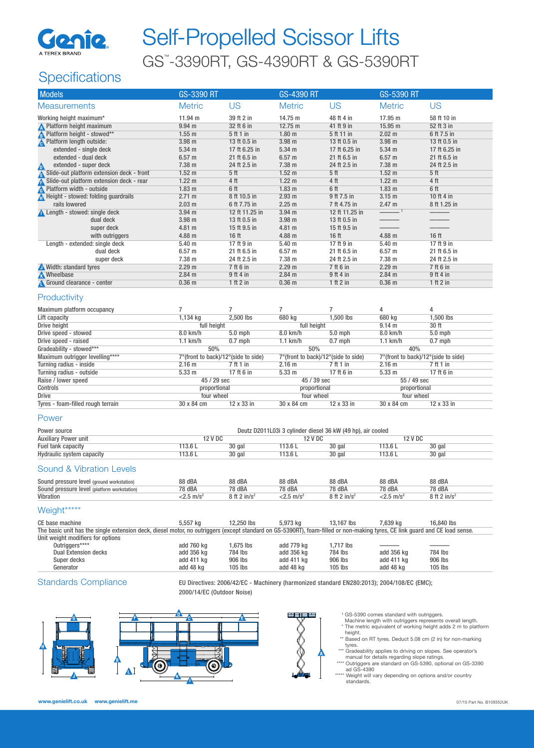

# Self-Propelled Scissor Lifts GS™ -3390RT, GS-4390RT & GS-5390RT

## **Specifications**

| <b>Models</b>                                                                                                                                                               | GS-3390 RT                          |                      | GS-4390 RT                                                  |                      | GS-5390 RT                          |                  |
|-----------------------------------------------------------------------------------------------------------------------------------------------------------------------------|-------------------------------------|----------------------|-------------------------------------------------------------|----------------------|-------------------------------------|------------------|
| <b>Measurements</b>                                                                                                                                                         | <b>Metric</b>                       | <b>US</b>            | <b>Metric</b>                                               | <b>US</b>            | <b>Metric</b>                       | <b>US</b>        |
| Working height maximum*                                                                                                                                                     | 11.94 m                             | 39 ft 2 in           | 14.75 m                                                     | 48 ft 4 in           | 17.95 m                             | 58 ft 10 in      |
| N Platform height maximum                                                                                                                                                   | 9.94 <sub>m</sub>                   | 32 ft 6 in           | 12.75 m                                                     | 41 ft 9 in           | 15.95 m                             | 52 ft 3 in       |
| Platform height - stowed**                                                                                                                                                  | $1.55$ m                            | 5 ft 1 in            | 1.80 <sub>m</sub>                                           | 5 ft 11 in           | 2.02 m                              | 6 ft 7.5 in      |
| <b>A</b> Platform length outside:                                                                                                                                           | 3.98 m                              | 13 ft 0.5 in         | 3.98 m                                                      | 13 ft 0.5 in         | 3.98 m                              | 13 ft 0.5 in     |
| extended - single deck                                                                                                                                                      | 5.34 <sub>m</sub>                   | 17 ft 6.25 in        | 5.34 <sub>m</sub>                                           | 17 ft 6.25 in        | 5.34 m                              | 17 ft 6.25 in    |
| extended - dual deck                                                                                                                                                        | $6.57$ m                            | 21 ft 6.5 in         | 6.57 <sub>m</sub>                                           | 21 ft 6.5 in         | $6.57$ m                            | 21 ft 6.5 in     |
| extended - super deck<br>Δ                                                                                                                                                  | $7.38 \text{ m}$                    | 24 ft 2.5 in         | 7.38 m                                                      | 24 ft 2.5 in         | 7.38 m                              | 24 ft 2.5 in     |
| Slide-out platform extension deck - front                                                                                                                                   | $1.52 \text{ m}$                    | 5 ft                 | 1.52 <sub>m</sub>                                           | 5 <sup>th</sup>      | 1.52 <sub>m</sub>                   | 5 ft             |
| Slide-out platform extension deck - rear                                                                                                                                    | 1.22 <sub>m</sub>                   | 4 ft                 | 1.22 <sub>m</sub>                                           | 4 ft                 | $1.22 \text{ m}$                    | 4 ft             |
| Platform width - outside                                                                                                                                                    | $1.83$ m                            | 6 ft                 | 1.83 <sub>m</sub>                                           | 6 ft                 | 1.83 <sub>m</sub>                   | 6 ft             |
| Height - stowed: folding guardrails                                                                                                                                         | 2.71 m                              | 8 ft 10.5 in         | 2.93 <sub>m</sub>                                           | 9 ft 7.5 in          | $3.15$ m                            | 10 ft 4 in       |
| rails lowered                                                                                                                                                               | $2.03 \text{ m}$                    | 6 ft 7.75 in         | 2.25 m                                                      | 7 ft 4.75 in         | 2.47 m                              | 8 ft 1.25 in     |
| Length - stowed: single deck                                                                                                                                                | 3.94 <sub>m</sub>                   | 12 ft 11.25 in       | 3.94 <sub>m</sub>                                           | 12 ft 11.25 in       |                                     |                  |
| dual deck                                                                                                                                                                   | 3.98 <sub>m</sub>                   | 13 ft 0.5 in         | 3.98 m                                                      | 13 ft 0.5 in         |                                     |                  |
| super deck                                                                                                                                                                  | $4.81 \text{ m}$                    | 15 ft 9.5 in         | 4.81 m                                                      | 15 ft 9.5 in         |                                     |                  |
| with outriggers                                                                                                                                                             | $4.88$ m                            | 16 <sub>ft</sub>     | 4.88 <sub>m</sub>                                           | 16 <sub>ft</sub>     | 4.88 m                              | 16 ft            |
| Length - extended: single deck                                                                                                                                              | 5.40 <sub>m</sub>                   | 17 ft 9 in           | 5.40 <sub>m</sub>                                           | 17 ft 9 in           | 5.40 <sub>m</sub>                   | 17 ft 9 in       |
| dual deck                                                                                                                                                                   | $6.57 \; m$                         | 21 ft 6.5 in         | 6.57 m                                                      | 21 ft 6.5 in         | 6.57 <sub>m</sub>                   | 21 ft 6.5 in     |
| super deck                                                                                                                                                                  | 7.38 m                              | 24 ft 2.5 in         | 7.38 m                                                      | 24 ft 2.5 in         | 7.38 m                              | 24 ft 2.5 in     |
| Width: standard tyres                                                                                                                                                       | 2.29 <sub>m</sub>                   | 7 ft 6 in            | 2.29 <sub>m</sub>                                           | 7 ft 6 in            | 2.29 <sub>m</sub>                   | 7 ft 6 in        |
| <b>N</b> Wheelbase                                                                                                                                                          | $2.84$ m                            | 9 ft 4 in            | 2.84 <sub>m</sub>                                           | 9 ft 4 in            | 2.84 m                              | 9 ft 4 in        |
| Ground clearance - center                                                                                                                                                   | $0.36$ m                            | 1 ft 2 in            | 0.36 <sub>m</sub>                                           | 1 ft 2 in            | $0.36$ m                            | 1 ft 2 in        |
| Productivity                                                                                                                                                                |                                     |                      |                                                             |                      |                                     |                  |
| Maximum platform occupancy                                                                                                                                                  | $\overline{7}$                      | $\overline{7}$       | 7                                                           | 7                    | 4                                   | 4                |
| Lift capacity                                                                                                                                                               | 1,134 kg                            | 2,500 lbs            | 680 kg                                                      | 1,500 lbs            | 680 kg                              | 1,500 lbs        |
| Drive height                                                                                                                                                                | full height                         |                      | full height                                                 |                      | 9.14 m                              | 30 ft            |
| Drive speed - stowed                                                                                                                                                        | 8.0 km/h                            | $5.0$ mph            | 8.0 km/h                                                    | $5.0$ mph            | 8.0 km/h                            | 5.0 mph          |
| Drive speed - raised                                                                                                                                                        | $1.1$ km/h<br>50%                   | $0.7$ mph            | $1.1$ km/h<br>50%                                           | $0.7$ mph            | $1.1$ km/h<br>40%                   | $0.7$ mph        |
| Gradeability - stowed***<br>Maximum outrigger levelling****                                                                                                                 | 7°(front to back)/12°(side to side) |                      | 7°(front to back)/12°(side to side)                         |                      | 7°(front to back)/12°(side to side) |                  |
| Turning radius - inside                                                                                                                                                     | 2.16 <sub>m</sub>                   | 7 ft 1 in            | 2.16 <sub>m</sub>                                           | 7 ft 1 in            | 2.16 <sub>m</sub>                   | 7 ft 1 in        |
| Turning radius - outside                                                                                                                                                    | 5.33 m                              | 17 ft 6 in           | 5.33 <sub>m</sub>                                           | 17 ft 6 in           | 5.33 <sub>m</sub>                   | 17 ft 6 in       |
| Raise / lower speed                                                                                                                                                         | 45 / 29 sec                         |                      | 45 / 39 sec                                                 |                      | 55 / 49 sec                         |                  |
| Controls                                                                                                                                                                    | proportional                        |                      | proportional                                                |                      | proportional                        |                  |
| <b>Drive</b>                                                                                                                                                                | four wheel                          |                      | four wheel                                                  |                      | four wheel                          |                  |
| Tyres - foam-filled rough terrain                                                                                                                                           | 30 x 84 cm                          | 12 x 33 in           | 30 x 84 cm                                                  | 12 x 33 in           | 30 x 84 cm                          | 12 x 33 in       |
| Power                                                                                                                                                                       |                                     |                      |                                                             |                      |                                     |                  |
| Power source                                                                                                                                                                |                                     |                      | Deutz D2011L03i 3 cylinder diesel 36 kW (49 hp), air cooled |                      |                                     |                  |
| <b>Auxiliary Power unit</b>                                                                                                                                                 | <b>12 V DC</b>                      |                      | 12 V DC                                                     |                      | <b>12 V DC</b>                      |                  |
| Fuel tank capacity                                                                                                                                                          | 113.6L                              | 30 gal               | 113.6L                                                      | 30 gal               | 113.6L                              | 30 gal           |
| Hydraulic system capacity                                                                                                                                                   | 113.6L                              | 30 gal               | 113.6L                                                      | 30 gal               | 113.6L                              | 30 gal           |
| <b>Sound &amp; Vibration Levels</b>                                                                                                                                         |                                     |                      |                                                             |                      |                                     |                  |
| Sound pressure level (ground workstation)                                                                                                                                   | 88 dBA                              | 88 dBA               | 88 dBA                                                      | 88 dBA               | 88 dBA                              | 88 dBA           |
| Sound pressure level (platform workstation)                                                                                                                                 | 78 dBA                              | 78 dBA               | 78 dBA                                                      | 78 dBA               | 78 dBA                              | 78 dBA           |
| Vibration                                                                                                                                                                   | $<$ 2.5 m/s <sup>2</sup>            | 8 ft 2 in/ $s^2$     | $<$ 2.5 m/s <sup>2</sup>                                    | 8 ft 2 in/ $s^2$     | $<$ 2.5 m/s <sup>2</sup>            | 8 ft 2 in/ $s^2$ |
| Weight*****                                                                                                                                                                 |                                     |                      |                                                             |                      |                                     |                  |
| CE base machine                                                                                                                                                             | 5,557 kg                            | 12,250 lbs           | 5,973 kg                                                    | 13,167 lbs           | 7,639 kg                            | 16,840 lbs       |
| The basic unit has the single extension deck, diesel motor, no outriggers (except standard on GS-5390RT), foam-filled or non-making tyres, CE link guard and CE load sense. |                                     |                      |                                                             |                      |                                     |                  |
| Unit weight modifiers for options<br>Outriggers****                                                                                                                         |                                     |                      |                                                             |                      |                                     |                  |
| <b>Dual Extension decks</b>                                                                                                                                                 | add 760 kg<br>add 356 kg            | 1,675 lbs<br>784 lbs | add 779 kg<br>add 356 kg                                    | 1,717 lbs<br>784 lbs | add 356 kg                          | 784 lbs          |
| Super decks                                                                                                                                                                 | add 411 kg                          | 906 lbs              | add 411 kg                                                  | 906 lbs              | add 411 kg                          | 906 lbs          |
| Generator                                                                                                                                                                   | add 48 kg                           | $105$ lbs            | add 48 kg                                                   | $105$ lbs            | add 48 kg                           | $105$ lbs        |

Standards Compliance EU Directives: 2006/42/EC - Machinery (harmonized standard EN280:2013); 2004/108/EC (EMC); 2000/14/EC (Outdoor Noise)





**A**

- 1 GS-5390 comes standard with outriggers. Machine length with outriggers represents overall length. \* The metric equivalent of working height adds 2 m to platform
- height.
- \*\* Based on RT tyres. Deduct 5.08 cm (2 in) for non-marking
- 
- 
- tyres.<br>
"Gradeability applies to driving on slopes. See operator's<br>
"Cardeability applies to driving on slope ratings.<br>
""Cutriggers are standard on GS-5390, optional on GS-3390<br>
"Ad GS-4390<br>
"Weight will vary depending on
- standards.